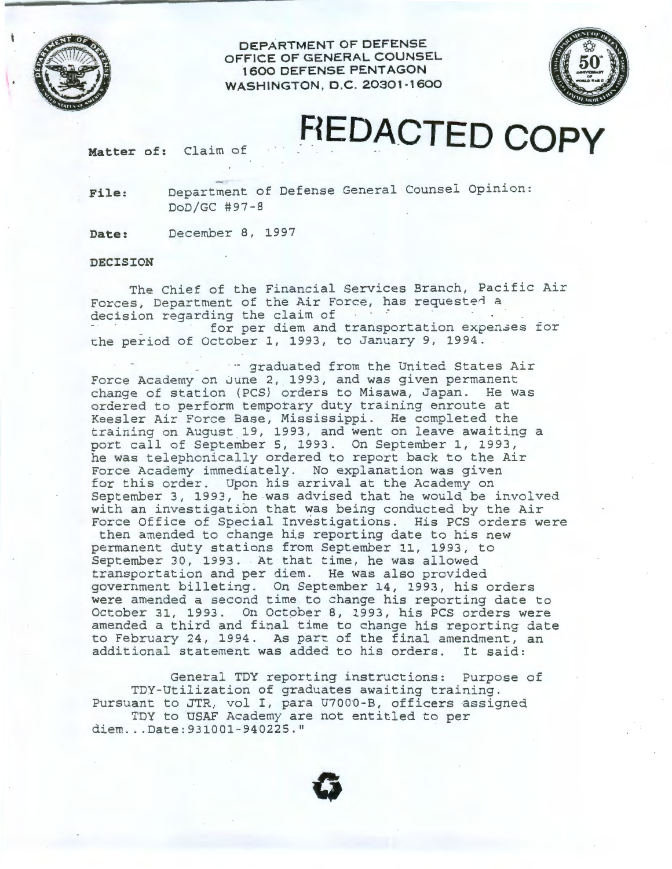**DEPARTMENT OF DEFENSE OFFICE OF GENERAL COUNSEL 1 600 DEFENSE PENTAGON WASHINGTON, D.C. 20301-1600** 



## **Matter of: Claim of FIEDACTED COPY**

**File:** Department of Defense General Counsel Opinion: DoD/GC #97-8

**Date:** December 8, 1997

## **DECISION**

The Chief of the Financial Services Branch, Pacific Air Forces, Department of the Air Force, has requested a decision regarding the claim of for per diem and transportation expenses for che period of October 1, 1993, to January 9, 1994.

-- graduated from the United States Air Force Academy on June 2, 1993, and was given permanent change of station (PCS) orders to Misawa, Japan. He was ordered to perform temporary duty training enroute at Keesler Air Force Base, Mississippi. He completed the training on August 19, 1993, and went on leave awaiting a port call of September 5, 1993. On September 1, 1993, he was telephonically ordered to report back to the Air Force Academy immediately. No explanation was given for this order. Upon his arrival at the Academy on September 3, 1993, he was advised that he would be involved with an investigation that was being conducted by the Air Force Office of Special Investigations. His PCS orders were

then amended to change his reporting date to his new permanent duty stations from September 11, 1993, to September 30, 1993. At that time, he was allowed transportation and per diem. He was also provided government billeting. On September 14, 1993, his orders were amended a second time to change his reporting date to October 31, 1993. On October 8, 1993, his PCS orders were amended a third and final time to change his reporting date to February 24, 1994. As part of the final amendment, an additional statement was added to his orders. It said:

General TDY reporting instructions: Purpose of TOY-Utilization of graduates awaiting training. Pursuant to JTR, vol I, para U7000-B, officers assigned TDY to USAF Academy are not entitled to per diem...Date: 931001-940225."

**0**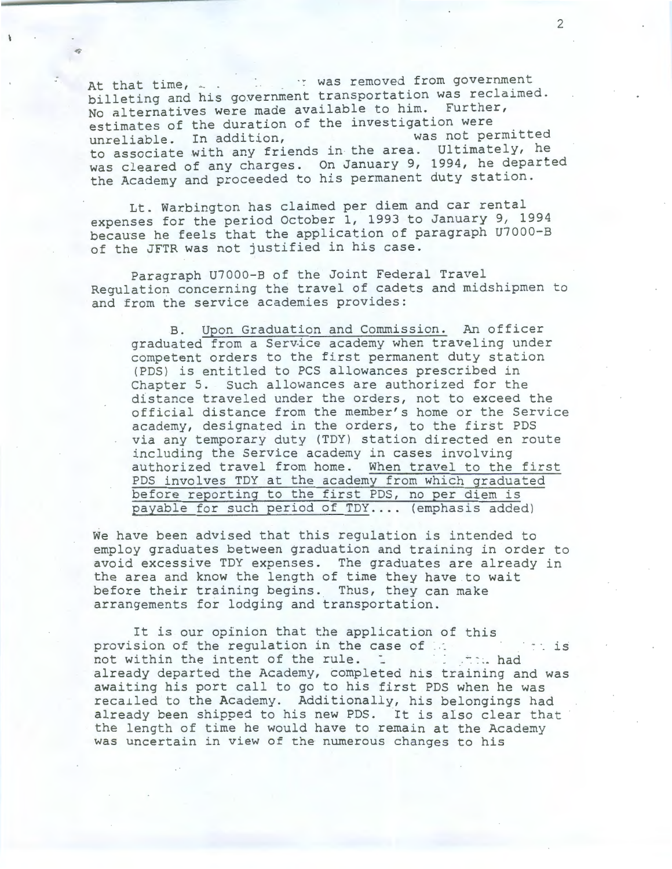At that time,  $\frac{1}{n}$  .  $\frac{1}{n}$  was removed from government billeting and his government transportation was reclaimed. No alternatives were made available to him. Further, estimates of the duration of the investigation were<br>unreliable. In addition, was not permitted unreliable. In addition, was not permitted to associate with any friends in the area. Ultimately, he was cleared of any charges. On January 9, 1994, he departed the Academy and proceeded to his permanent duty station.

Lt. Warbington has claimed per diem and car rental expenses for the period October 1, 1993 to January 9, 1994 because he feels that the application of paragraph U7000-B of the JFTR was not justified in his case.

Paragraph U7000-B of the Joint Federal Travel Regulation concerning the travel of cadets and midshipmen to and from the service academies provides:

B. Upon Graduation and Commission. An officer graduated from a Service academy when traveling under competent orders to the first permanent duty station (PDS) is entitled to PCS allowances prescribed in Chapter 5. Such allowances are authorized for the distance traveled under the orders, not to exceed the offic ial distance from the member's home or the Service academy, designated in the orders, to the first PDS via any temporary duty (TDY) station directed en route including the Service academy in cases involving authorized travel from home. When travel to the first PDS involves TDY at the academy from which graduated before reporting to the first PDS, no per diem is payable for such period of TDY.... (emphasis added)

We have been advised that this regulation is intended to employ graduates between graduation and training in order to avoid excessive TDY expenses. The graduates are already in the area and know the length of time they have to wait before their training begins. Thus, they can make arrangements for lodging and transportation.

It is our opinion that the application of this provision of the regulation in the case of is the intention of the rule. not within the intent of the rule. already departed the Academy, completed his training and was awaiting his port call to go to his first PDS when he was recailed to the Academy. Additionally, his belongings had already been shipped to his new PDS. It is also clear that the length of time he would have to remain at the Academy was uncertain in view of the numerous changes to his

2